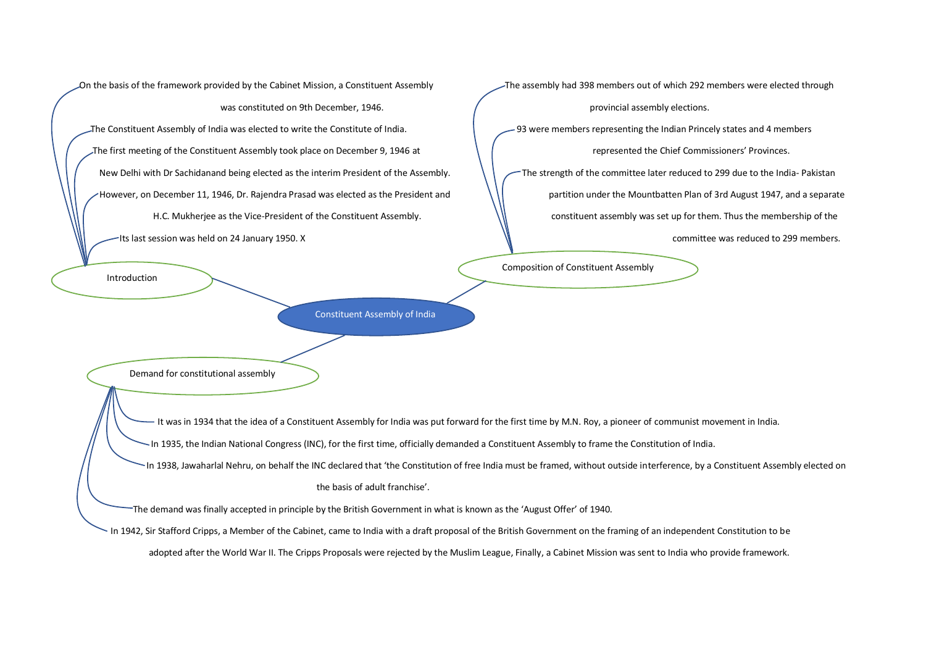On the basis of the framework provided by the Cabinet Mission, a Constituent Assembly The assembly had 398 members out of which 292 members were elected through was constituted on 9th December, 1946. **provincial assembly elections.** provincial assembly elections. The Constituent Assembly of India was elected to write the Constitute of India. 93 were members representing the Indian Princely states and 4 members The first meeting of the Constituent Assembly took place on December 9, 1946 at  $\|\cdot\|$  represented the Chief Commissioners' Provinces. New Delhi with Dr Sachidanand being elected as the interim President of the Assembly. The strength of the committee later reduced to 299 due to the India- Pakistan However, on December 11, 1946, Dr. Rajendra Prasad was elected as the President and  $\| \cdot \|$  partition under the Mountbatten Plan of 3rd August 1947, and a separate

Introduction

Constituent Assembly of India

 H.C. Mukherjee as the Vice-President of the Constituent Assembly. constituent assembly was set up for them. Thus the membership of the Its last session was held on 24 January 1950. X committee was reduced to 299 members.

Composition of Constituent Assembly

Demand for constitutional assembly

It was in 1934 that the idea of a Constituent Assembly for India was put forward for the first time by M.N. Roy, a pioneer of communist movement in India.

In 1935, the Indian National Congress (INC), for the first time, officially demanded a Constituent Assembly to frame the Constitution of India.

In 1938, Jawaharlal Nehru, on behalf the INC declared that 'the Constitution of free India must be framed, without outside interference, by a Constituent Assembly elected on

the basis of adult franchise'.

The demand was finally accepted in principle by the British Government in what is known as the 'August Offer' of 1940.

In 1942, Sir Stafford Cripps, a Member of the Cabinet, came to India with a draft proposal of the British Government on the framing of an independent Constitution to be

adopted after the World War II. The Cripps Proposals were rejected by the Muslim League, Finally, a Cabinet Mission was sent to India who provide framework.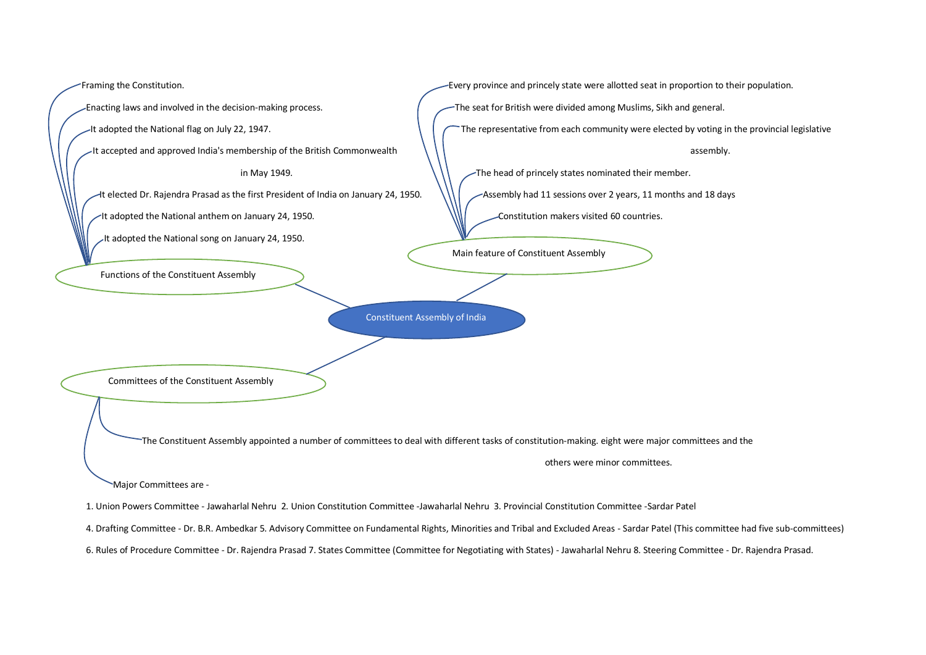

4. Drafting Committee - Dr. B.R. Ambedkar 5. Advisory Committee on Fundamental Rights, Minorities and Tribal and Excluded Areas - Sardar Patel (This committee had five sub-committees)

6. Rules of Procedure Committee - Dr. Rajendra Prasad 7. States Committee (Committee for Negotiating with States) - Jawaharlal Nehru 8. Steering Committee - Dr. Rajendra Prasad.